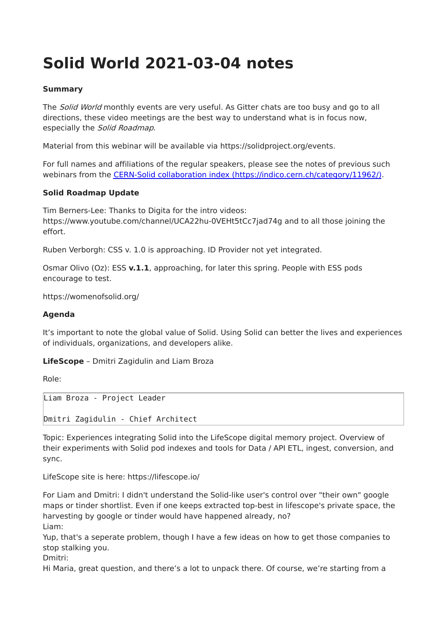# **Solid World 2021-03-04 notes**

## **Summary**

The Solid World monthly events are very useful. As Gitter chats are too busy and go to all directions, these video meetings are the best way to understand what is in focus now, especially the Solid Roadmap.

Material from this webinar will be available via https://solidproject.org/events.

For full names and affiliations of the regular speakers, please see the notes of previous such webinars from the CERN-Solid collaboration index [\(https://indico.cern.ch/category/11962/\).](https://indico.cern.ch/category/11962/)

### **Solid Roadmap Update**

Tim Berners-Lee: Thanks to Digita for the intro videos: https://www.youtube.com/channel/UCA22hu-0VEHt5tCc7jad74g and to all those joining the effort.

Ruben Verborgh: CSS v. 1.0 is approaching. ID Provider not yet integrated.

Osmar Olivo (Oz): ESS **v.1.1**, approaching, for later this spring. People with ESS pods encourage to test.

https://womenofsolid.org/

### **Agenda**

It's important to note the global value of Solid. Using Solid can better the lives and experiences of individuals, organizations, and developers alike.

**LifeScope** – Dmitri Zagidulin and Liam Broza

Role:

Liam Broza - Project Leader

Dmitri Zagidulin - Chief Architect

Topic: Experiences integrating Solid into the LifeScope digital memory project. Overview of their experiments with Solid pod indexes and tools for Data / API ETL, ingest, conversion, and sync.

LifeScope site is here: https://lifescope.io/

For Liam and Dmitri: I didn't understand the Solid-like user's control over "their own" google maps or tinder shortlist. Even if one keeps extracted top-best in lifescope's private space, the harvesting by google or tinder would have happened already, no? Liam:

Yup, that's a seperate problem, though I have a few ideas on how to get those companies to stop stalking you.

Dmitri:

Hi Maria, great question, and there's a lot to unpack there. Of course, we're starting from a